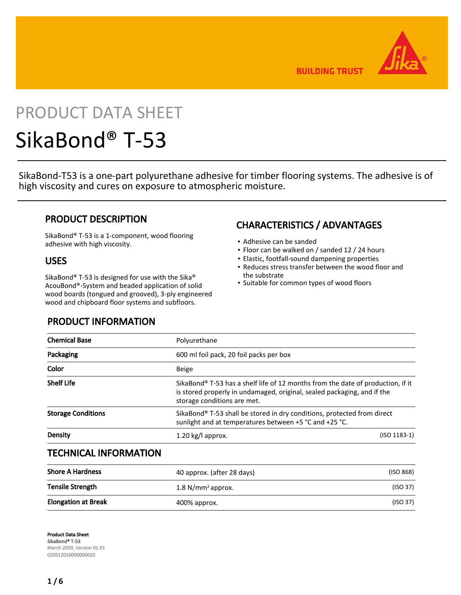**BUILDING TRUST** 

# PRODUCT DATA SHEET

# SikaBond® T-53

SikaBond-T53 is a one-part polyurethane adhesive for timber flooring systems. The adhesive is of high viscosity and cures on exposure to atmospheric moisture.

## PRODUCT DESCRIPTION

SikaBond® T-53 is a 1-component, wood flooring adhesive with high viscosity.

### USES

SikaBond® T-53 is designed for use with the Sika® AcouBond®-System and beaded application of solid wood boards (tongued and grooved), 3-ply engineered wood and chipboard floor systems and subfloors.

# CHARACTERISTICS / ADVANTAGES

- Adhesive can be sanded
- Floor can be walked on / sanded 12 / 24 hours
- **Elastic, footfall-sound dampening properties**
- Reduces stress transfer between the wood floor and the substrate
- Suitable for common types of wood floors

| <b>Chemical Base</b>      | Polyurethane                                                                                                                                                                                          |                |  |
|---------------------------|-------------------------------------------------------------------------------------------------------------------------------------------------------------------------------------------------------|----------------|--|
| Packaging                 | 600 ml foil pack, 20 foil packs per box                                                                                                                                                               |                |  |
| Color                     | Beige                                                                                                                                                                                                 |                |  |
| <b>Shelf Life</b>         | SikaBond <sup>®</sup> T-53 has a shelf life of 12 months from the date of production, if it<br>is stored properly in undamaged, original, sealed packaging, and if the<br>storage conditions are met. |                |  |
| <b>Storage Conditions</b> | SikaBond <sup>®</sup> T-53 shall be stored in dry conditions, protected from direct<br>sunlight and at temperatures between +5 °C and +25 °C.                                                         |                |  |
| Density                   | 1.20 kg/l approx.                                                                                                                                                                                     | $(ISO 1183-1)$ |  |

### TECHNICAL INFORMATION

| <b>Shore A Hardness</b>    | 40 approx. (after 28 days)      | (ISO 868) |
|----------------------------|---------------------------------|-----------|
| <b>Tensile Strength</b>    | $1.8$ N/mm <sup>2</sup> approx. | (ISO 37)  |
| <b>Elongation at Break</b> | 400% approx.                    | (ISO 37)  |

Product Data Sheet SikaBond® T-53 March 2020, Version 01.01 020512010000000020

## PRODUCT INFORMATION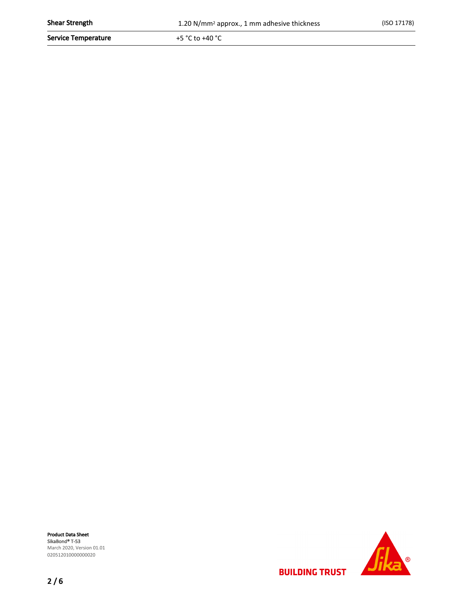Service Temperature  $+5 °C$  to  $+40 °C$ 

Product Data Sheet SikaBond® T-53 March 2020, Version 01.01 020512010000000020

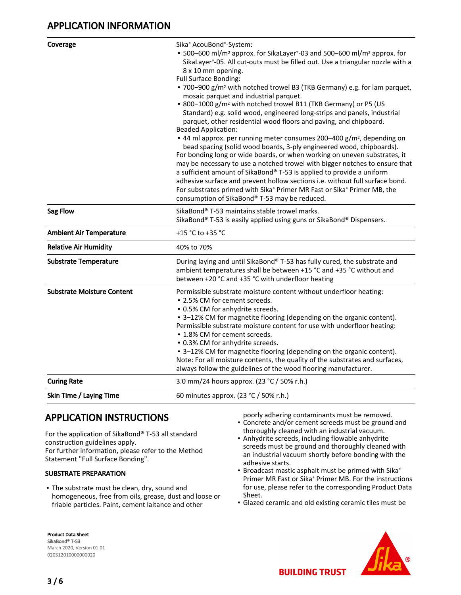| Coverage                          | Sika® AcouBond®-System:<br>• 500-600 ml/m <sup>2</sup> approx. for SikaLayer <sup>®</sup> -03 and 500-600 ml/m <sup>2</sup> approx. for<br>SikaLayer®-05. All cut-outs must be filled out. Use a triangular nozzle with a<br>8 x 10 mm opening.<br><b>Full Surface Bonding:</b><br>. 700-900 g/m <sup>2</sup> with notched trowel B3 (TKB Germany) e.g. for lam parquet,<br>mosaic parquet and industrial parquet.<br>• 800-1000 g/m <sup>2</sup> with notched trowel B11 (TKB Germany) or P5 (US<br>Standard) e.g. solid wood, engineered long-strips and panels, industrial<br>parquet, other residential wood floors and paving, and chipboard.<br><b>Beaded Application:</b><br>• 44 ml approx. per running meter consumes $200-400$ g/m <sup>2</sup> , depending on<br>bead spacing (solid wood boards, 3-ply engineered wood, chipboards).<br>For bonding long or wide boards, or when working on uneven substrates, it<br>may be necessary to use a notched trowel with bigger notches to ensure that<br>a sufficient amount of SikaBond® T-53 is applied to provide a uniform<br>adhesive surface and prevent hollow sections i.e. without full surface bond.<br>For substrates primed with Sika® Primer MR Fast or Sika® Primer MB, the<br>consumption of SikaBond® T-53 may be reduced. |  |
|-----------------------------------|---------------------------------------------------------------------------------------------------------------------------------------------------------------------------------------------------------------------------------------------------------------------------------------------------------------------------------------------------------------------------------------------------------------------------------------------------------------------------------------------------------------------------------------------------------------------------------------------------------------------------------------------------------------------------------------------------------------------------------------------------------------------------------------------------------------------------------------------------------------------------------------------------------------------------------------------------------------------------------------------------------------------------------------------------------------------------------------------------------------------------------------------------------------------------------------------------------------------------------------------------------------------------------------------------|--|
| Sag Flow                          | SikaBond® T-53 maintains stable trowel marks.<br>SikaBond® T-53 is easily applied using guns or SikaBond® Dispensers.                                                                                                                                                                                                                                                                                                                                                                                                                                                                                                                                                                                                                                                                                                                                                                                                                                                                                                                                                                                                                                                                                                                                                                             |  |
| <b>Ambient Air Temperature</b>    | +15 °C to +35 °C                                                                                                                                                                                                                                                                                                                                                                                                                                                                                                                                                                                                                                                                                                                                                                                                                                                                                                                                                                                                                                                                                                                                                                                                                                                                                  |  |
| <b>Relative Air Humidity</b>      | 40% to 70%                                                                                                                                                                                                                                                                                                                                                                                                                                                                                                                                                                                                                                                                                                                                                                                                                                                                                                                                                                                                                                                                                                                                                                                                                                                                                        |  |
| <b>Substrate Temperature</b>      | During laying and until SikaBond® T-53 has fully cured, the substrate and<br>ambient temperatures shall be between +15 °C and +35 °C without and<br>between +20 °C and +35 °C with underfloor heating                                                                                                                                                                                                                                                                                                                                                                                                                                                                                                                                                                                                                                                                                                                                                                                                                                                                                                                                                                                                                                                                                             |  |
| <b>Substrate Moisture Content</b> | Permissible substrate moisture content without underfloor heating:<br>• 2.5% CM for cement screeds.<br>. 0.5% CM for anhydrite screeds.<br>• 3-12% CM for magnetite flooring (depending on the organic content).<br>Permissible substrate moisture content for use with underfloor heating:<br>• 1.8% CM for cement screeds.<br>. 0.3% CM for anhydrite screeds.<br>• 3-12% CM for magnetite flooring (depending on the organic content).<br>Note: For all moisture contents, the quality of the substrates and surfaces,<br>always follow the guidelines of the wood flooring manufacturer.                                                                                                                                                                                                                                                                                                                                                                                                                                                                                                                                                                                                                                                                                                      |  |
| <b>Curing Rate</b>                | 3.0 mm/24 hours approx. (23 °C / 50% r.h.)                                                                                                                                                                                                                                                                                                                                                                                                                                                                                                                                                                                                                                                                                                                                                                                                                                                                                                                                                                                                                                                                                                                                                                                                                                                        |  |
| Skin Time / Laying Time           | 60 minutes approx. (23 °C / 50% r.h.)                                                                                                                                                                                                                                                                                                                                                                                                                                                                                                                                                                                                                                                                                                                                                                                                                                                                                                                                                                                                                                                                                                                                                                                                                                                             |  |

# APPLICATION INSTRUCTIONS

For the application of SikaBond® T-53 all standard construction guidelines apply. For further information, please refer to the Method Statement "Full Surface Bonding".

#### SUBSTRATE PREPARATION

The substrate must be clean, dry, sound and ▪ homogeneous, free from oils, grease, dust and loose or friable particles. Paint, cement laitance and other

Product Data Sheet SikaBond® T-53 March 2020, Version 01.01 020512010000000020

poorly adhering contaminants must be removed.

- Concrete and/or cement screeds must be ground and thoroughly cleaned with an industrial vacuum.
- Anhydrite screeds, including flowable anhydrite screeds must be ground and thoroughly cleaned with an industrial vacuum shortly before bonding with the adhesive starts.
- **Broadcast mastic asphalt must be primed with Sika®** Primer MR Fast or Sika® Primer MB. For the instructions for use, please refer to the corresponding Product Data Sheet.
- Glazed ceramic and old existing ceramic tiles must be



**BUILDING TRUST**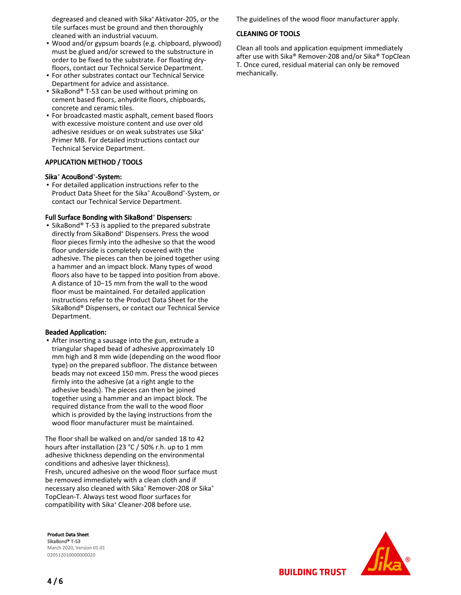degreased and cleaned with Sika® Aktivator-205, or the tile surfaces must be ground and then thoroughly cleaned with an industrial vacuum.

- Wood and/or gypsum boards (e.g. chipboard, plywood) must be glued and/or screwed to the substructure in order to be fixed to the substrate. For floating dryfloors, contact our Technical Service Department.
- **For other substrates contact our Technical Service** Department for advice and assistance.
- SikaBond® T-53 can be used without priming on cement based floors, anhydrite floors, chipboards, concrete and ceramic tiles.
- For broadcasted mastic asphalt, cement based floors with excessive moisture content and use over old adhesive residues or on weak substrates use Sika® Primer MB. For detailed instructions contact our Technical Service Department.

#### APPLICATION METHOD / TOOLS

#### Sika<sup>®</sup> AcouBond<sup>®</sup>-System:

**•** For detailed application instructions refer to the Product Data Sheet for the Sika® AcouBond®-System, or contact our Technical Service Department.

#### Full Surface Bonding with SikaBond® Dispensers:

■ SikaBond® T-53 is applied to the prepared substrate directly from SikaBond® Dispensers. Press the wood floor pieces firmly into the adhesive so that the wood floor underside is completely covered with the adhesive. The pieces can then be joined together using a hammer and an impact block. Many types of wood floors also have to be tapped into position from above. A distance of 10−15 mm from the wall to the wood floor must be maintained. For detailed application instructions refer to the Product Data Sheet for the SikaBond® Dispensers, or contact our Technical Service Department.

#### Beaded Application:

After inserting a sausage into the gun, extrude a ▪ triangular shaped bead of adhesive approximately 10 mm high and 8 mm wide (depending on the wood floor type) on the prepared subfloor. The distance between beads may not exceed 150 mm. Press the wood pieces firmly into the adhesive (at a right angle to the adhesive beads). The pieces can then be joined together using a hammer and an impact block. The required distance from the wall to the wood floor which is provided by the laying instructions from the wood floor manufacturer must be maintained.

The floor shall be walked on and/or sanded 18 to 42 hours after installation (23 °C / 50% r.h. up to 1 mm adhesive thickness depending on the environmental conditions and adhesive layer thickness). Fresh, uncured adhesive on the wood floor surface must be removed immediately with a clean cloth and if necessary also cleaned with Sika® Remover-208 or Sika® TopClean-T. Always test wood floor surfaces for compatibility with Sika® Cleaner-208 before use.

Product Data Sheet SikaBond® T-53 March 2020, Version 01.01 020512010000000020

The guidelines of the wood floor manufacturer apply.

#### CLEANING OF TOOLS

Clean all tools and application equipment immediately after use with Sika® Remover-208 and/or Sika® TopClean T. Once cured, residual material can only be removed mechanically.



**BUILDING TRUST**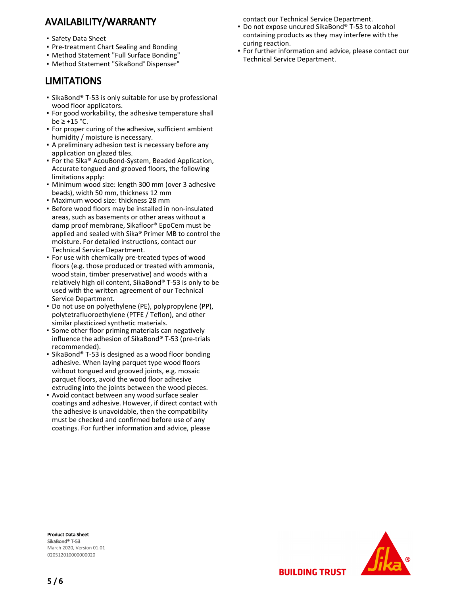# AVAILABILITY/WARRANTY

- Safety Data Sheet
- Pre-treatment Chart Sealing and Bonding
- Method Statement "Full Surface Bonding"
- Method Statement "SikaBond® Dispenser"

# LIMITATIONS

- SikaBond® T-53 is only suitable for use by professional wood floor applicators.
- **•** For good workability, the adhesive temperature shall  $he$  > +15 °C.
- For proper curing of the adhesive, sufficient ambient humidity / moisture is necessary.
- A preliminary adhesion test is necessary before any application on glazed tiles.
- For the Sika® AcouBond-System, Beaded Application, Accurate tongued and grooved floors, the following limitations apply:
- Minimum wood size: length 300 mm (over 3 adhesive beads), width 50 mm, thickness 12 mm
- Maximum wood size: thickness 28 mm
- **Before wood floors may be installed in non-insulated** areas, such as basements or other areas without a damp proof membrane, Sikafloor® EpoCem must be applied and sealed with Sika® Primer MB to control the moisture. For detailed instructions, contact our Technical Service Department.
- **•** For use with chemically pre-treated types of wood floors (e.g. those produced or treated with ammonia, wood stain, timber preservative) and woods with a relatively high oil content, SikaBond® T-53 is only to be used with the written agreement of our Technical Service Department.
- Do not use on polyethylene (PE), polypropylene (PP), polytetrafluoroethylene (PTFE / Teflon), and other similar plasticized synthetic materials.
- **Some other floor priming materials can negatively** influence the adhesion of SikaBond® T-53 (pre-trials recommended).
- SikaBond® T-53 is designed as a wood floor bonding adhesive. When laying parquet type wood floors without tongued and grooved joints, e.g. mosaic parquet floors, avoid the wood floor adhesive extruding into the joints between the wood pieces.
- Avoid contact between any wood surface sealer coatings and adhesive. However, if direct contact with the adhesive is unavoidable, then the compatibility must be checked and confirmed before use of any coatings. For further information and advice, please

contact our Technical Service Department.

- Do not expose uncured SikaBond® T-53 to alcohol containing products as they may interfere with the curing reaction.
- For further information and advice, please contact our Technical Service Department.

Product Data Sheet SikaBond® T-53 March 2020, Version 01.01 020512010000000020



**BUILDING TRUST**